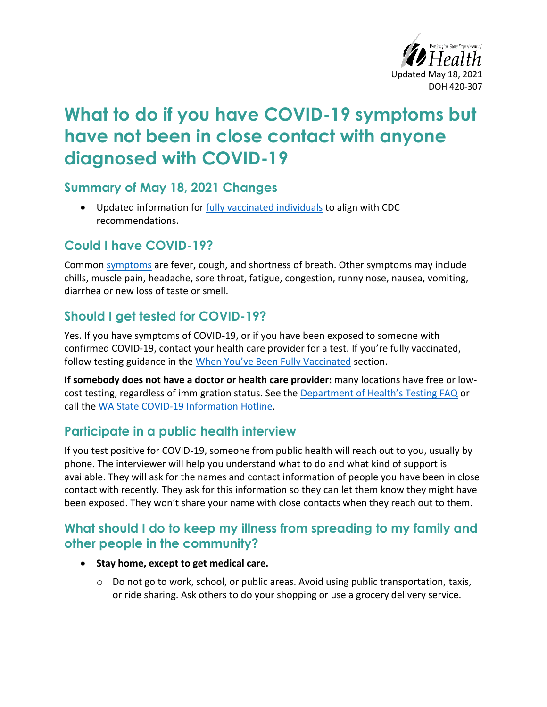

# **What to do if you have COVID-19 symptoms but have not been in close contact with anyone diagnosed with COVID-19**

#### **Summary of May 18, 2021 Changes**

• Updated information for [fully vaccinated individuals](#page-3-0) to align with CDC recommendations.

### **Could I have COVID-19?**

Common [symptoms](https://www.cdc.gov/coronavirus/2019-ncov/symptoms-testing/symptoms.html) are fever, cough, and shortness of breath. Other symptoms may include chills, muscle pain, headache, sore throat, fatigue, congestion, runny nose, nausea, vomiting, diarrhea or new loss of taste or smell.

### **Should I get tested for COVID-19?**

Yes. If you have symptoms of COVID-19, or if you have been exposed to someone with confirmed COVID-19, contact your health care provider for a test. If you're fully vaccinated, follow testing guidance in the When You['ve Been Fully Vaccinated](#page-3-0) section.

**If somebody does not have a doctor or health care provider:** many locations have free or lowcost testing, regardless of immigration status. See the [Department of Health's Testing FAQ](https://www.doh.wa.gov/Emergencies/COVID19/TestingforCOVID19) or call the [WA State COVID-19 Information](https://www.doh.wa.gov/Emergencies/COVID19/ContactUs) Hotline.

### **Participate in a public health interview**

If you test positive for COVID-19, someone from public health will reach out to you, usually by phone. The interviewer will help you understand what to do and what kind of support is available. They will ask for the names and contact information of people you have been in close contact with recently. They ask for this information so they can let them know they might have been exposed. They won't share your name with close contacts when they reach out to them.

#### **What should I do to keep my illness from spreading to my family and other people in the community?**

- **Stay home, except to get medical care.**
	- $\circ$  Do not go to work, school, or public areas. Avoid using public transportation, taxis, or ride sharing. Ask others to do your shopping or use a grocery delivery service.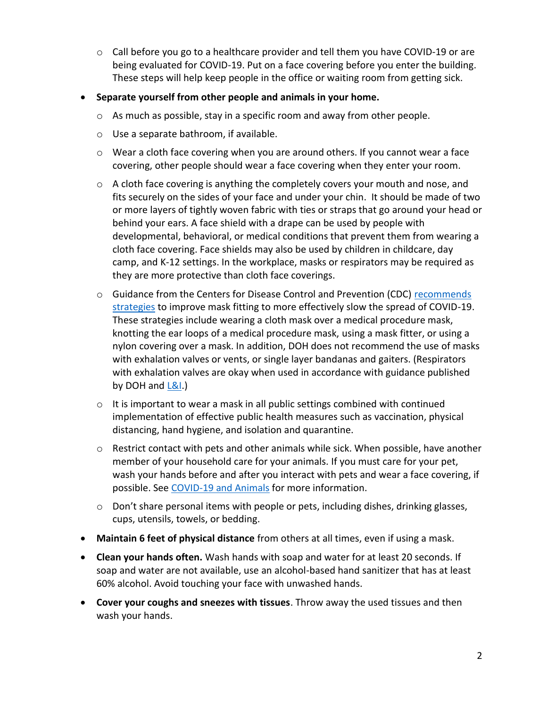- $\circ$  Call before you go to a healthcare provider and tell them you have COVID-19 or are being evaluated for COVID-19. Put on a face covering before you enter the building. These steps will help keep people in the office or waiting room from getting sick.
- **Separate yourself from other people and animals in your home.** 
	- o As much as possible, stay in a specific room and away from other people.
	- o Use a separate bathroom, if available.
	- $\circ$  Wear a cloth face covering when you are around others. If you cannot wear a face covering, other people should wear a face covering when they enter your room.
	- $\circ$  A cloth face covering is anything the completely covers your mouth and nose, and fits securely on the sides of your face and under your chin. It should be made of two or more layers of tightly woven fabric with ties or straps that go around your head or behind your ears. A face shield with a drape can be used by people with developmental, behavioral, or medical conditions that prevent them from wearing a cloth face covering. Face shields may also be used by children in childcare, day camp, and K-12 settings. In the workplace, masks or respirators may be required as they are more protective than cloth face coverings.
	- o Guidance from the Centers for Disease Control and Prevention (CDC) [recommends](https://www.cdc.gov/coronavirus/2019-ncov/your-health/effective-masks.html)  [strategies](https://www.cdc.gov/coronavirus/2019-ncov/your-health/effective-masks.html) to improve mask fitting to more effectively slow the spread of COVID-19. These strategies include wearing a cloth mask over a medical procedure mask, knotting the ear loops of a medical procedure mask, using a mask fitter, or using a nylon covering over a mask. In addition, DOH does not recommend the use of masks with exhalation valves or vents, or single layer bandanas and gaiters. (Respirators with exhalation valves are okay when used in accordance with guidance published by DOH and  $L&L.$ )
	- o It is important to wear a mask in all public settings combined with continued implementation of effective public health measures such as vaccination, physical distancing, hand hygiene, and isolation and quarantine.
	- $\circ$  Restrict contact with pets and other animals while sick. When possible, have another member of your household care for your animals. If you must care for your pet, wash your hands before and after you interact with pets and wear a face covering, if possible. Se[e COVID-19 and Animals](https://www.cdc.gov/coronavirus/2019-ncov/daily-life-coping/animals.html) for more information.
	- o Don't share personal items with people or pets, including dishes, drinking glasses, cups, utensils, towels, or bedding.
- **Maintain 6 feet of physical distance** from others at all times, even if using a mask.
- **Clean your hands often.** Wash hands with soap and water for at least 20 seconds. If soap and water are not available, use an alcohol-based hand sanitizer that has at least 60% alcohol. Avoid touching your face with unwashed hands.
- **Cover your coughs and sneezes with tissues**. Throw away the used tissues and then wash your hands.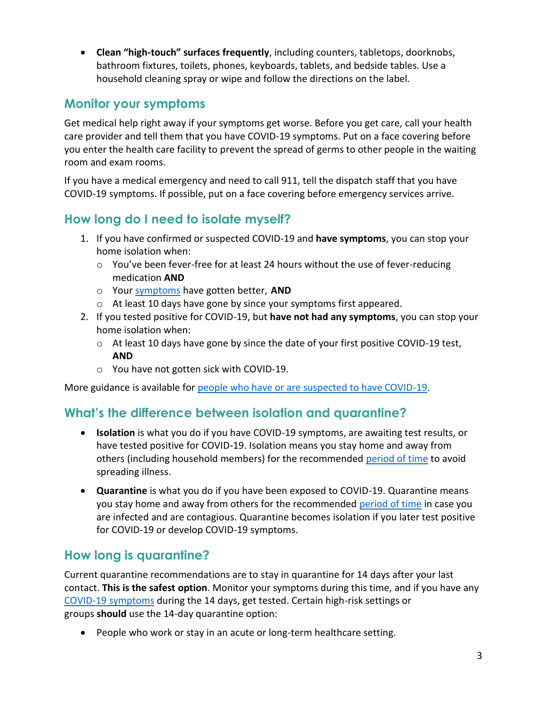• **Clean "high-touch" surfaces frequently**, including counters, tabletops, doorknobs, bathroom fixtures, toilets, phones, keyboards, tablets, and bedside tables. Use a household cleaning spray or wipe and follow the directions on the label.

## **Monitor your symptoms**

Get medical help right away if your symptoms get worse. Before you get care, call your health care provider and tell them that you have COVID-19 symptoms. Put on a face covering before you enter the health care facility to prevent the spread of germs to other people in the waiting room and exam rooms.

If you have a medical emergency and need to call 911, tell the dispatch staff that you have COVID-19 symptoms. If possible, put on a face covering before emergency services arrive.

## <span id="page-2-0"></span>**How long do I need to isolate myself?**

- 1. If you have confirmed or suspected COVID-19 and **have symptoms**, you can stop your home isolation when:
	- o You've been fever-free for at least 24 hours without the use of fever-reducing medication **AND**
	- o Your [symptoms](https://www.cdc.gov/coronavirus/2019-ncov/symptoms-testing/symptoms.html) have gotten better, **AND**
	- o At least 10 days have gone by since your symptoms first appeared.
- 2. If you tested positive for COVID-19, but **have not had any symptoms**, you can stop your home isolation when:
	- o At least 10 days have gone by since the date of your first positive COVID-19 test, **AND**
	- o You have not gotten sick with COVID-19.

More guidance is available for [people who have or are suspected to have COVID-19.](https://www.doh.wa.gov/Portals/1/Documents/1600/coronavirus/COVIDcasepositive.pdf)

### **What's the difference between isolation and quarantine?**

- **Isolation** is what you do if you have COVID-19 symptoms, are awaiting test results, or have tested positive for COVID-19. Isolation means you stay home and away from others (including household members) for the recommended [period of time](#page-2-0) to avoid spreading illness.
- **Quarantine** is what you do if you have been exposed to COVID-19. Quarantine means you stay home and away from others for the recommended [period of time](#page-2-1) in case you are infected and are contagious. Quarantine becomes isolation if you later test positive for COVID-19 or develop COVID-19 symptoms.

## <span id="page-2-1"></span>**How long is quarantine?**

Current quarantine recommendations are to stay in quarantine for 14 days after your last contact. **This is the safest option**. Monitor your symptoms during this time, and if you have any [COVID-19 symptoms](https://www.cdc.gov/coronavirus/2019-ncov/symptoms-testing/symptoms.html) during the 14 days, get tested. Certain high-risk settings or groups **should** use the 14-day quarantine option:

• People who work or stay in an acute or long-term healthcare setting.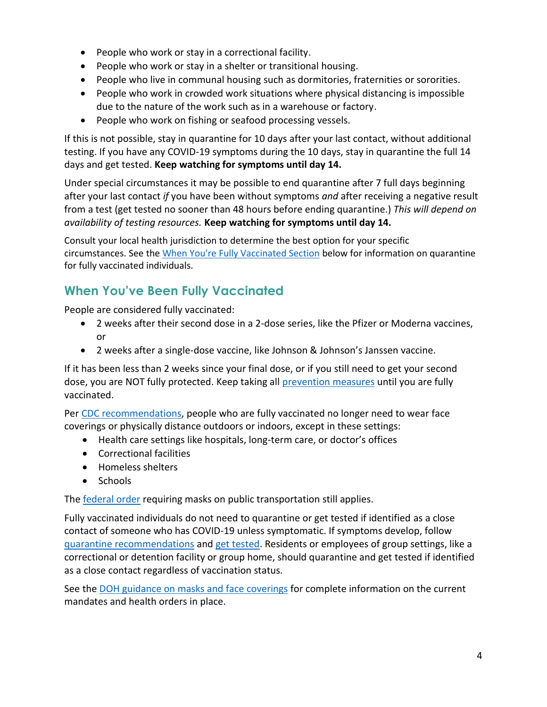- People who work or stay in a correctional facility.
- People who work or stay in a shelter or transitional housing.
- People who live in communal housing such as dormitories, fraternities or sororities.
- People who work in crowded work situations where physical distancing is impossible due to the nature of the work such as in a warehouse or factory.
- People who work on fishing or seafood processing vessels.

If this is not possible, stay in quarantine for 10 days after your last contact, without additional testing. If you have any COVID-19 symptoms during the 10 days, stay in quarantine the full 14 days and get tested. **Keep watching for symptoms until day 14.**

Under special circumstances it may be possible to end quarantine after 7 full days beginning after your last contact *if* you have been without symptoms *and* after receiving a negative result from a test (get tested no sooner than 48 hours before ending quarantine.) *This will depend on availability of testing resources.* **Keep watching for symptoms until day 14.**

<span id="page-3-0"></span>Consult your local health jurisdiction to determine the best option for your specific circumstances. See th[e When You're Fully Vaccinated Section](file://///doh/user/fr/sks5303/Documents/COVID-19%20Guidance%20and%20Ext%20Affairs/Guidance%20-%20in%20the%20works/420-308-COVIDPositive.docx%23_When_You’ve_Been) below for information on quarantine for fully vaccinated individuals.

# **When You've Been Fully Vaccinated**

People are considered fully vaccinated:

- 2 weeks after their second dose in a 2-dose series, like the Pfizer or Moderna vaccines, or
- 2 weeks after a single-dose vaccine, like Johnson & Johnson's Janssen vaccine.

If it has been less than 2 weeks since your final dose, or if you still need to get your second dose, you are NOT fully protected. Keep taking all [prevention measures](https://www.cdc.gov/coronavirus/2019-ncov/prevent-getting-sick/prevention.html) until you are fully vaccinated.

Per [CDC recommendations,](https://www.cdc.gov/coronavirus/2019-ncov/vaccines/fully-vaccinated-guidance.html) people who are fully vaccinated no longer need to wear face coverings or physically distance outdoors or indoors, except in these settings:

- Health care settings like hospitals, long-term care, or doctor's offices
- Correctional facilities
- Homeless shelters
- Schools

The **federal order** requiring masks on public transportation still applies.

Fully vaccinated individuals do not need to quarantine or get tested if identified as a close contact of someone who has COVID-19 unless symptomatic. If symptoms develop, follow [quarantine recommendations](https://www.doh.wa.gov/Emergencies/COVID19/CaseInvestigationsandContactTracing/IsolationandQuarantineforCOVID19) and [get tested.](https://www.doh.wa.gov/Emergencies/COVID19/TestingforCOVID19) Residents or employees of group settings, like a correctional or detention facility or group home, should quarantine and get tested if identified as a close contact regardless of vaccination status.

See the [DOH guidance on masks and face coverings](https://www.doh.wa.gov/Portals/1/Documents/1600/coronavirus/ClothFacemasks.pdf) for complete information on the current mandates and health orders in place.